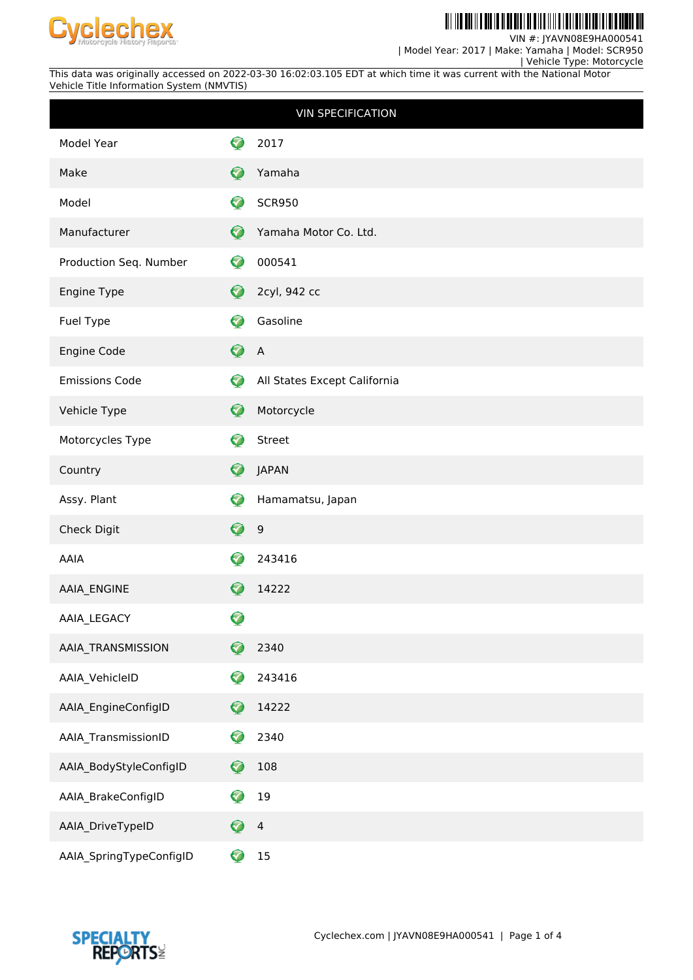

#### IO DOI II O DIE IO II OLONO II O DOI II II O I O I IO I O I O I O Ш

VIN #: JYAVN08E9HA000541

| Model Year: 2017 | Make: Yamaha | Model: SCR950

 | Vehicle Type: Motorcycle This data was originally accessed on 2022-03-30 16:02:03.105 EDT at which time it was current with the National Motor Vehicle Title Information System (NMVTIS)

|                         |             | <b>VIN SPECIFICATION</b>     |
|-------------------------|-------------|------------------------------|
| Model Year              | 0           | 2017                         |
| Make                    | Ø           | Yamaha                       |
| Model                   | Ø           | <b>SCR950</b>                |
| Manufacturer            | $\bullet$   | Yamaha Motor Co. Ltd.        |
| Production Seq. Number  | Ø           | 000541                       |
| Engine Type             | $\bullet$   | 2cyl, 942 cc                 |
| Fuel Type               | ♡           | Gasoline                     |
| Engine Code             | ➊           | $\overline{A}$               |
| <b>Emissions Code</b>   | Ø           | All States Except California |
| Vehicle Type            | $\bullet$   | Motorcycle                   |
| Motorcycles Type        | €           | Street                       |
| Country                 | $\bullet$   | <b>JAPAN</b>                 |
| Assy. Plant             | ♡           | Hamamatsu, Japan             |
| Check Digit             | €           | $\overline{9}$               |
| AAIA                    | ✓           | 243416                       |
| AAIA_ENGINE             | K           | 14222                        |
| AAIA LEGACY             | 0           |                              |
| AAIA_TRANSMISSION       | G           | 2340                         |
| AAIA_VehicleID          | ✓           | 243416                       |
| AAIA_EngineConfigID     | Ø           | 14222                        |
| AAIA_TransmissionID     | 7           | 2340                         |
| AAIA_BodyStyleConfigID  | $\mathbf O$ | 108                          |
| AAIA_BrakeConfigID      | 0           | 19                           |
| AAIA_DriveTypeID        | ◎           | $\overline{a}$               |
| AAIA_SpringTypeConfigID | ❤           | 15                           |

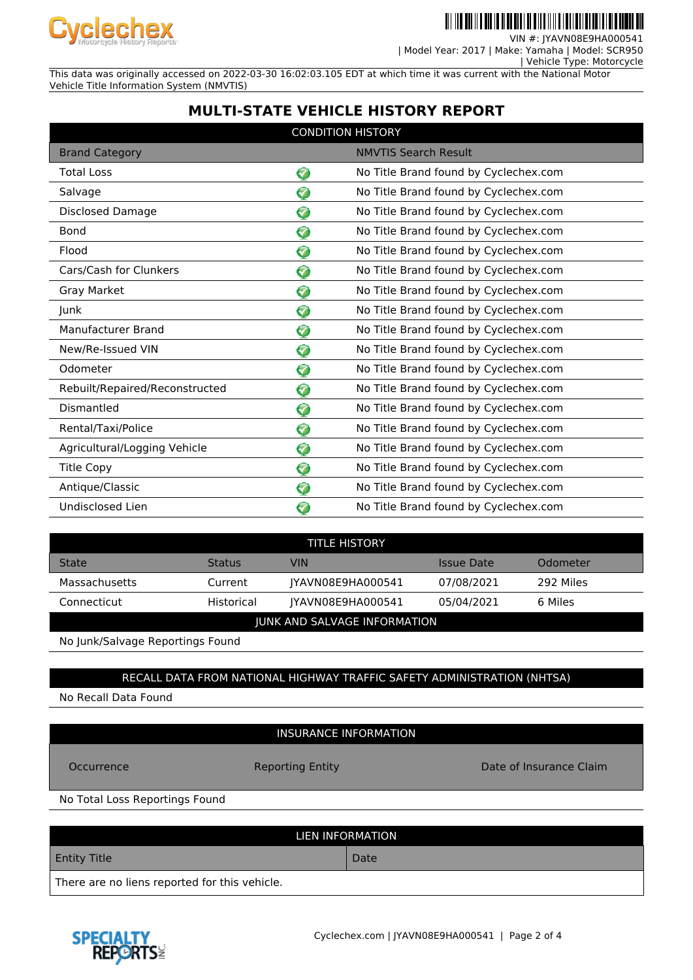

VIN #: JYAVN08E9HA000541 | Model Year: 2017 | Make: Yamaha | Model: SCR950

| Vehicle Type: Motorcycle

This data was originally accessed on 2022-03-30 16:02:03.105 EDT at which time it was current with the National Motor Vehicle Title Information System (NMVTIS)

# **MULTI-STATE VEHICLE HISTORY REPORT**

| <b>CONDITION HISTORY</b>       |                      |                                       |  |
|--------------------------------|----------------------|---------------------------------------|--|
| <b>Brand Category</b>          |                      | <b>NMVTIS Search Result</b>           |  |
| <b>Total Loss</b>              | ❤                    | No Title Brand found by Cyclechex.com |  |
| Salvage                        | €                    | No Title Brand found by Cyclechex.com |  |
| Disclosed Damage               | 7                    | No Title Brand found by Cyclechex.com |  |
| <b>Bond</b>                    | Ø                    | No Title Brand found by Cyclechex.com |  |
| Flood                          | 0                    | No Title Brand found by Cyclechex.com |  |
| Cars/Cash for Clunkers         | ❤                    | No Title Brand found by Cyclechex.com |  |
| Gray Market                    | 0                    | No Title Brand found by Cyclechex.com |  |
| Junk                           | ❤                    | No Title Brand found by Cyclechex.com |  |
| Manufacturer Brand             | ❤                    | No Title Brand found by Cyclechex.com |  |
| New/Re-Issued VIN              | ❤                    | No Title Brand found by Cyclechex.com |  |
| Odometer                       | 3                    | No Title Brand found by Cyclechex.com |  |
| Rebuilt/Repaired/Reconstructed | 3                    | No Title Brand found by Cyclechex.com |  |
| Dismantled                     | ♡                    | No Title Brand found by Cyclechex.com |  |
| Rental/Taxi/Police             | ଚ                    | No Title Brand found by Cyclechex.com |  |
| Agricultural/Logging Vehicle   | ଚ                    | No Title Brand found by Cyclechex.com |  |
| <b>Title Copy</b>              | 0                    | No Title Brand found by Cyclechex.com |  |
| Antique/Classic                | 0                    | No Title Brand found by Cyclechex.com |  |
| Undisclosed Lien               | $\blacktriangledown$ | No Title Brand found by Cyclechex.com |  |

| <b>TITLE HISTORY</b>                |               |                   |            |           |  |
|-------------------------------------|---------------|-------------------|------------|-----------|--|
| State                               | <b>Status</b> | VIN               | Issue Date | Odometer  |  |
| Massachusetts                       | Current       | IYAVN08E9HA000541 | 07/08/2021 | 292 Miles |  |
| Connecticut                         | Historical    | IYAVN08E9HA000541 | 05/04/2021 | 6 Miles   |  |
| <b>JUNK AND SALVAGE INFORMATION</b> |               |                   |            |           |  |

No Junk/Salvage Reportings Found

### RECALL DATA FROM NATIONAL HIGHWAY TRAFFIC SAFETY ADMINISTRATION (NHTSA)

No Recall Data Found

| INSURANCE INFORMATION |
|-----------------------|
|                       |
|                       |

Occurrence **Reporting Entity Reporting Entity Date of Insurance Claim** 

No Total Loss Reportings Found

| LIEN INFORMATION                              |      |  |  |
|-----------------------------------------------|------|--|--|
| <b>Entity Title</b>                           | Date |  |  |
| There are no liens reported for this vehicle. |      |  |  |

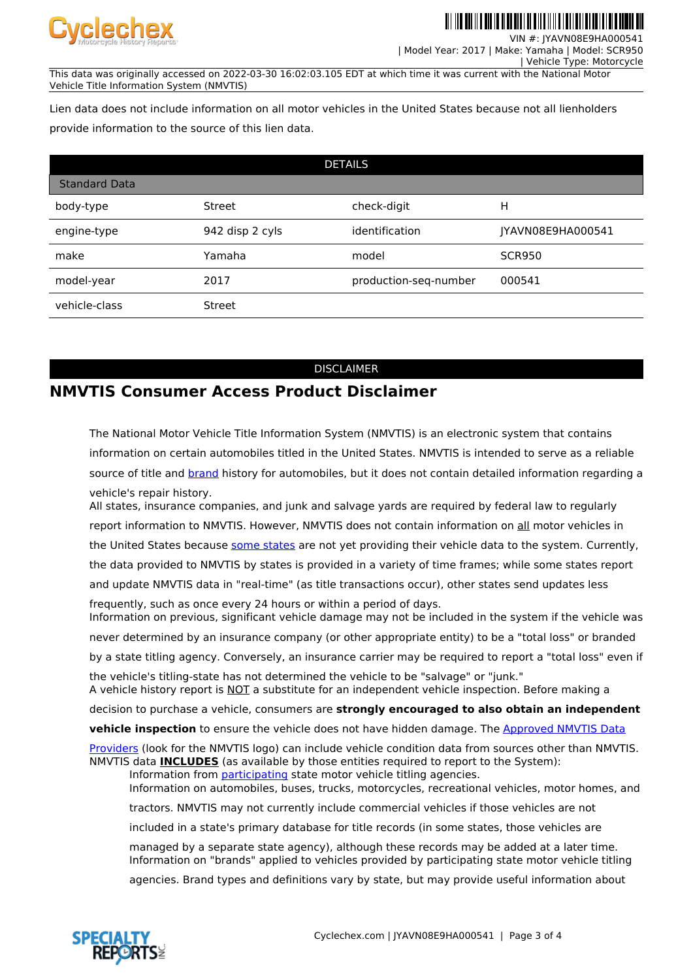

# VIN #: JYAVN08E9HA000541

| Model Year: 2017 | Make: Yamaha | Model: SCR950

 | Vehicle Type: Motorcycle This data was originally accessed on 2022-03-30 16:02:03.105 EDT at which time it was current with the National Motor Vehicle Title Information System (NMVTIS)

Lien data does not include information on all motor vehicles in the United States because not all lienholders provide information to the source of this lien data.

| <b>DETAILS</b>       |                 |                       |                   |  |
|----------------------|-----------------|-----------------------|-------------------|--|
| <b>Standard Data</b> |                 |                       |                   |  |
| body-type            | Street          | check-digit           | Н                 |  |
| engine-type          | 942 disp 2 cyls | identification        | JYAVN08E9HA000541 |  |
| make                 | Yamaha          | model                 | <b>SCR950</b>     |  |
| model-year           | 2017            | production-seq-number | 000541            |  |
| vehicle-class        | Street          |                       |                   |  |

### DISCLAIMER

## **NMVTIS Consumer Access Product Disclaimer**

The National Motor Vehicle Title Information System (NMVTIS) is an electronic system that contains information on certain automobiles titled in the United States. NMVTIS is intended to serve as a reliable source of title and [brand](https://vehiclehistory.bja.ojp.gov/nmvtis_glossary) history for automobiles, but it does not contain detailed information regarding a vehicle's repair history.

All states, insurance companies, and junk and salvage yards are required by federal law to regularly report information to NMVTIS. However, NMVTIS does not contain information on all motor vehicles in the United States because [some states](https://vehiclehistory.bja.ojp.gov/nmvtis_states) are not yet providing their vehicle data to the system. Currently, the data provided to NMVTIS by states is provided in a variety of time frames; while some states report and update NMVTIS data in "real-time" (as title transactions occur), other states send updates less

frequently, such as once every 24 hours or within a period of days. Information on previous, significant vehicle damage may not be included in the system if the vehicle was

never determined by an insurance company (or other appropriate entity) to be a "total loss" or branded

by a state titling agency. Conversely, an insurance carrier may be required to report a "total loss" even if the vehicle's titling-state has not determined the vehicle to be "salvage" or "junk."

A vehicle history report is NOT a substitute for an independent vehicle inspection. Before making a

decision to purchase a vehicle, consumers are **strongly encouraged to also obtain an independent**

**vehicle inspection** to ensure the vehicle does not have hidden damage. The [Approved NMVTIS Data](https://vehiclehistory.bja.ojp.gov/nmvtis_vehiclehistory)

[Providers](https://vehiclehistory.bja.ojp.gov/nmvtis_vehiclehistory) (look for the NMVTIS logo) can include vehicle condition data from sources other than NMVTIS. NMVTIS data **INCLUDES** (as available by those entities required to report to the System):

Information from [participating](https://vehiclehistory.bja.ojp.gov/nmvtis_states) state motor vehicle titling agencies. Information on automobiles, buses, trucks, motorcycles, recreational vehicles, motor homes, and

tractors. NMVTIS may not currently include commercial vehicles if those vehicles are not

included in a state's primary database for title records (in some states, those vehicles are

managed by a separate state agency), although these records may be added at a later time. Information on "brands" applied to vehicles provided by participating state motor vehicle titling

agencies. Brand types and definitions vary by state, but may provide useful information about